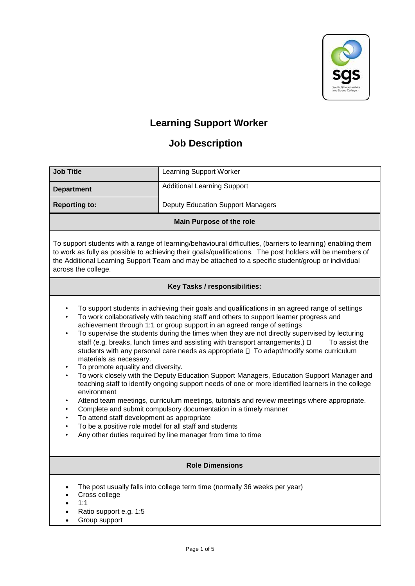

## **Learning Support Worker**

## **Job Description**

| <b>Job Title</b>                                                                                                                                                                                                                                                                                                                                                                                                                                                                                                                                                                                                                                                                                                                                                                                                                                                                                                                                                                                                                                                                                                                                                                                                                                      | <b>Learning Support Worker</b>           |  |  |  |  |  |
|-------------------------------------------------------------------------------------------------------------------------------------------------------------------------------------------------------------------------------------------------------------------------------------------------------------------------------------------------------------------------------------------------------------------------------------------------------------------------------------------------------------------------------------------------------------------------------------------------------------------------------------------------------------------------------------------------------------------------------------------------------------------------------------------------------------------------------------------------------------------------------------------------------------------------------------------------------------------------------------------------------------------------------------------------------------------------------------------------------------------------------------------------------------------------------------------------------------------------------------------------------|------------------------------------------|--|--|--|--|--|
| <b>Department</b>                                                                                                                                                                                                                                                                                                                                                                                                                                                                                                                                                                                                                                                                                                                                                                                                                                                                                                                                                                                                                                                                                                                                                                                                                                     | <b>Additional Learning Support</b>       |  |  |  |  |  |
| <b>Reporting to:</b>                                                                                                                                                                                                                                                                                                                                                                                                                                                                                                                                                                                                                                                                                                                                                                                                                                                                                                                                                                                                                                                                                                                                                                                                                                  | <b>Deputy Education Support Managers</b> |  |  |  |  |  |
| <b>Main Purpose of the role</b>                                                                                                                                                                                                                                                                                                                                                                                                                                                                                                                                                                                                                                                                                                                                                                                                                                                                                                                                                                                                                                                                                                                                                                                                                       |                                          |  |  |  |  |  |
| To support students with a range of learning/behavioural difficulties, (barriers to learning) enabling them<br>to work as fully as possible to achieving their goals/qualifications. The post holders will be members of<br>the Additional Learning Support Team and may be attached to a specific student/group or individual<br>across the college.                                                                                                                                                                                                                                                                                                                                                                                                                                                                                                                                                                                                                                                                                                                                                                                                                                                                                                 |                                          |  |  |  |  |  |
|                                                                                                                                                                                                                                                                                                                                                                                                                                                                                                                                                                                                                                                                                                                                                                                                                                                                                                                                                                                                                                                                                                                                                                                                                                                       | Key Tasks / responsibilities:            |  |  |  |  |  |
| To support students in achieving their goals and qualifications in an agreed range of settings<br>$\bullet$<br>To work collaboratively with teaching staff and others to support learner progress and<br>achievement through 1:1 or group support in an agreed range of settings<br>To supervise the students during the times when they are not directly supervised by lecturing<br>$\bullet$<br>staff (e.g. breaks, lunch times and assisting with transport arrangements.) $\Box$<br>To assist the<br>students with any personal care needs as appropriate □ To adapt/modify some curriculum<br>materials as necessary.<br>To promote equality and diversity.<br>To work closely with the Deputy Education Support Managers, Education Support Manager and<br>$\bullet$<br>teaching staff to identify ongoing support needs of one or more identified learners in the college<br>environment<br>Attend team meetings, curriculum meetings, tutorials and review meetings where appropriate.<br>Complete and submit compulsory documentation in a timely manner<br>To attend staff development as appropriate<br>To be a positive role model for all staff and students<br>$\bullet$<br>Any other duties required by line manager from time to time |                                          |  |  |  |  |  |
| <b>Role Dimensions</b>                                                                                                                                                                                                                                                                                                                                                                                                                                                                                                                                                                                                                                                                                                                                                                                                                                                                                                                                                                                                                                                                                                                                                                                                                                |                                          |  |  |  |  |  |
| The post usually falls into college term time (normally 36 weeks per year)<br>Cross college<br>1:1                                                                                                                                                                                                                                                                                                                                                                                                                                                                                                                                                                                                                                                                                                                                                                                                                                                                                                                                                                                                                                                                                                                                                    |                                          |  |  |  |  |  |

- Ratio support e.g. 1:5
- Group support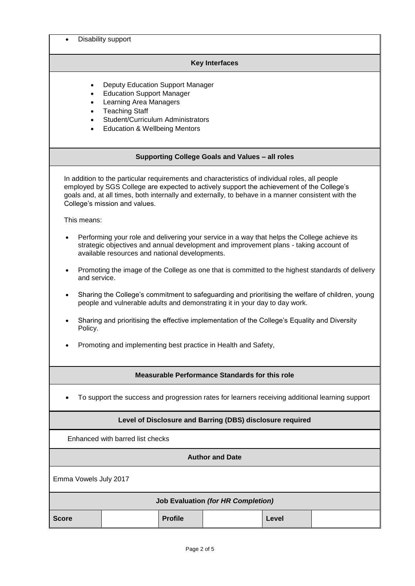| Disability support                                                                                                                                                                                                                                                                                                                 |  |  |  |  |  |
|------------------------------------------------------------------------------------------------------------------------------------------------------------------------------------------------------------------------------------------------------------------------------------------------------------------------------------|--|--|--|--|--|
| <b>Key Interfaces</b>                                                                                                                                                                                                                                                                                                              |  |  |  |  |  |
| <b>Deputy Education Support Manager</b><br>$\bullet$<br><b>Education Support Manager</b><br>$\bullet$<br>Learning Area Managers<br>$\bullet$<br><b>Teaching Staff</b><br>$\bullet$<br>Student/Curriculum Administrators<br>$\bullet$<br><b>Education &amp; Wellbeing Mentors</b><br>$\bullet$                                      |  |  |  |  |  |
| Supporting College Goals and Values - all roles                                                                                                                                                                                                                                                                                    |  |  |  |  |  |
| In addition to the particular requirements and characteristics of individual roles, all people<br>employed by SGS College are expected to actively support the achievement of the College's<br>goals and, at all times, both internally and externally, to behave in a manner consistent with the<br>College's mission and values. |  |  |  |  |  |
| This means:                                                                                                                                                                                                                                                                                                                        |  |  |  |  |  |
| Performing your role and delivering your service in a way that helps the College achieve its<br>$\bullet$<br>strategic objectives and annual development and improvement plans - taking account of<br>available resources and national developments.                                                                               |  |  |  |  |  |
| Promoting the image of the College as one that is committed to the highest standards of delivery<br>and service.                                                                                                                                                                                                                   |  |  |  |  |  |
| Sharing the College's commitment to safeguarding and prioritising the welfare of children, young<br>$\bullet$<br>people and vulnerable adults and demonstrating it in your day to day work.                                                                                                                                        |  |  |  |  |  |
| Sharing and prioritising the effective implementation of the College's Equality and Diversity<br>Policy.                                                                                                                                                                                                                           |  |  |  |  |  |
| Promoting and implementing best practice in Health and Safety,                                                                                                                                                                                                                                                                     |  |  |  |  |  |
| <b>Measurable Performance Standards for this role</b>                                                                                                                                                                                                                                                                              |  |  |  |  |  |
| To support the success and progression rates for learners receiving additional learning support                                                                                                                                                                                                                                    |  |  |  |  |  |
| Level of Disclosure and Barring (DBS) disclosure required                                                                                                                                                                                                                                                                          |  |  |  |  |  |
| Enhanced with barred list checks                                                                                                                                                                                                                                                                                                   |  |  |  |  |  |
| <b>Author and Date</b>                                                                                                                                                                                                                                                                                                             |  |  |  |  |  |
| Emma Vowels July 2017                                                                                                                                                                                                                                                                                                              |  |  |  |  |  |
| <b>Job Evaluation (for HR Completion)</b>                                                                                                                                                                                                                                                                                          |  |  |  |  |  |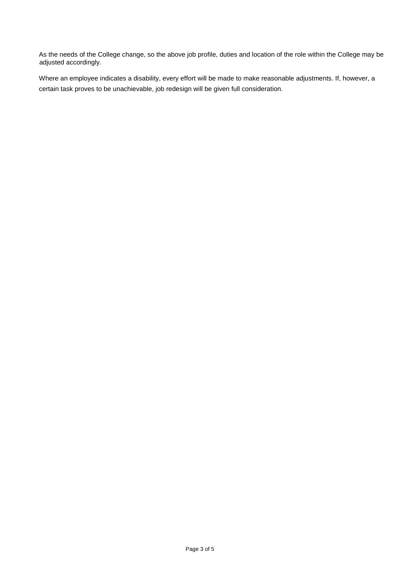As the needs of the College change, so the above job profile, duties and location of the role within the College may be adjusted accordingly.

Where an employee indicates a disability, every effort will be made to make reasonable adjustments. If, however, a certain task proves to be unachievable, job redesign will be given full consideration.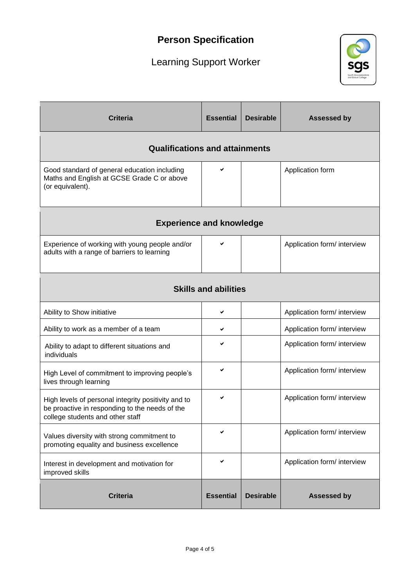## **Person Specification**

# Learning Support Worker



| <b>Criteria</b>                                                                                                                           | <b>Essential</b> | <b>Desirable</b> | <b>Assessed by</b>          |  |  |  |  |
|-------------------------------------------------------------------------------------------------------------------------------------------|------------------|------------------|-----------------------------|--|--|--|--|
| <b>Qualifications and attainments</b>                                                                                                     |                  |                  |                             |  |  |  |  |
| Good standard of general education including<br>Maths and English at GCSE Grade C or above<br>(or equivalent).                            | ✔                |                  | Application form            |  |  |  |  |
| <b>Experience and knowledge</b>                                                                                                           |                  |                  |                             |  |  |  |  |
| Experience of working with young people and/or<br>adults with a range of barriers to learning                                             | ✔                |                  | Application form/ interview |  |  |  |  |
| <b>Skills and abilities</b>                                                                                                               |                  |                  |                             |  |  |  |  |
| Ability to Show initiative                                                                                                                | ✔                |                  | Application form/ interview |  |  |  |  |
| Ability to work as a member of a team                                                                                                     | ✔                |                  | Application form/ interview |  |  |  |  |
| Ability to adapt to different situations and<br>individuals                                                                               |                  |                  | Application form/ interview |  |  |  |  |
| High Level of commitment to improving people's<br>lives through learning                                                                  | ✔                |                  | Application form/ interview |  |  |  |  |
| High levels of personal integrity positivity and to<br>be proactive in responding to the needs of the<br>college students and other staff | ✔                |                  | Application form/ interview |  |  |  |  |
| Values diversity with strong commitment to<br>promoting equality and business excellence                                                  | ✔                |                  | Application form/ interview |  |  |  |  |
| Interest in development and motivation for<br>improved skills                                                                             | ✔                |                  | Application form/ interview |  |  |  |  |
| <b>Criteria</b>                                                                                                                           | <b>Essential</b> | <b>Desirable</b> | <b>Assessed by</b>          |  |  |  |  |